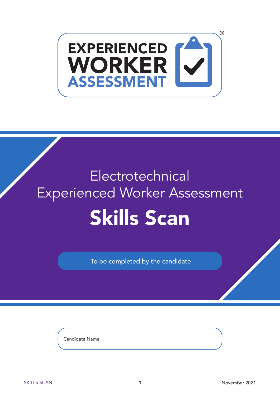

# Electrotechnical Experienced Worker Assessment Skills Scan ASSESSMENT

To be completed by the candidate

ASSESSMENT

Candidate Name: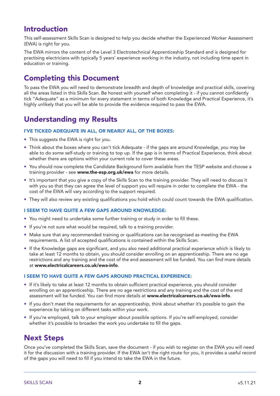### Introduction

This self-assessment Skills Scan is designed to help you decide whether the Experienced Worker Assessment (EWA) is right for you.

The EWA mirrors the content of the Level 3 Electrotechnical Apprenticeship Standard and is designed for practising electricians with typically 5 years' experience working in the industry, not including time spent in education or training.

# Completing this Document

To pass the EWA you will need to demonstrate breadth and depth of knowledge and practical skills, covering all the areas listed in this Skills Scan. Be honest with yourself when completing it - if you cannot confidently tick "Adequate" as a minimum for every statement in terms of both Knowledge and Practical Experience, it's highly unlikely that you will be able to provide the evidence required to pass the EWA.

### Understanding my Results

#### I'VE TICKED ADEQUATE IN ALL, OR NEARLY ALL, OF THE BOXES:

- This suggests the EWA is right for you.
- Think about the boxes where you can't tick Adequate if the gaps are around Knowledge, you may be able to do some self-study or training to top up. If the gap is in terms of Practical Experience, think about whether there are options within your current role to cover these areas.
- You should now complete the Candidate Background form available from the TESP website and choose a training provider - see www.the-esp.org.uk/ewa for more details.
- It's important that you give a copy of the Skills Scan to the training provider. They will need to discuss it with you so that they can agree the level of support you will require in order to complete the EWA - the cost of the EWA will vary according to the support required.
- They will also review any existing qualifications you hold which could count towards the EWA qualification.

#### I SEEM TO HAVE QUITE A FEW GAPS AROUND KNOWLEDGE:

- You might need to undertake some further training or study in order to fill these.
- If you're not sure what would be required, talk to a training provider.
- Make sure that any recommended training or qualifications can be recognised as meeting the EWA requirements. A list of accepted qualifications is contained within the Skills Scan.
- If the Knowledge gaps are significant, and you also need additional practical experience which is likely to take at least 12 months to obtain, you should consider enrolling on an apprenticeship. There are no age restrictions and any training and the cost of the end assessment will be funded. You can find more details at www.electricalcareers.co.uk/ewa-info.

#### I SEEM TO HAVE QUITE A FEW GAPS AROUND PRACTICAL EXPERIENCE:

- If it's likely to take at least 12 months to obtain sufficient practical experience, you should consider enrolling on an apprenticeship. There are no age restrictions and any training and the cost of the end assessment will be funded. You can find more details at www.electricalcareers.co.uk/ewa-info.
- If you don't meet the requirements for an apprenticeship, think about whether it's possible to gain the experience by taking on different tasks within your work.
- If you're employed, talk to your employer about possible options. If you're self-employed, consider whether it's possible to broaden the work you undertake to fill the gaps.

#### Next Steps

Once you've completed the Skills Scan, save the document - if you wish to register on the EWA you will need it for the discussion with a training provider. If the EWA isn't the right route for you, it provides a useful record of the gaps you will need to fill if you intend to take the EWA in the future.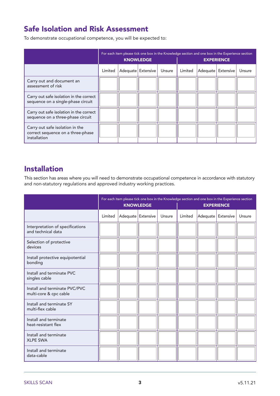# Safe Isolation and Risk Assessment

To demonstrate occupational competence, you will be expected to:

|                                                                                      | For each item please tick one box in the Knowledge section and one box in the Experience section<br><b>KNOWLEDGE</b> |  |                    |        | <b>EXPERIENCE</b> |          |                  |        |
|--------------------------------------------------------------------------------------|----------------------------------------------------------------------------------------------------------------------|--|--------------------|--------|-------------------|----------|------------------|--------|
|                                                                                      | Limited                                                                                                              |  | Adequate Extensive | Unsure | Limited           | Adequate | <b>Extensive</b> | Unsure |
| Carry out and document an<br>assessment of risk                                      |                                                                                                                      |  |                    |        |                   |          |                  |        |
| Carry out safe isolation in the correct<br>sequence on a single-phase circuit        |                                                                                                                      |  |                    |        |                   |          |                  |        |
| Carry out safe isolation in the correct<br>sequence on a three-phase circuit         |                                                                                                                      |  |                    |        |                   |          |                  |        |
| Carry out safe isolation in the<br>correct sequence on a three-phase<br>installation |                                                                                                                      |  |                    |        |                   |          |                  |        |

### Installation

This section has areas where you will need to demonstrate occupational competence in accordance with statutory and non-statutory regulations and approved industry working practices.

|                                                         | <b>KNOWLEDGE</b> |  |                    |        | For each item please tick one box in the Knowledge section and one box in the Experience section<br><b>EXPERIENCE</b> |  |                    |        |
|---------------------------------------------------------|------------------|--|--------------------|--------|-----------------------------------------------------------------------------------------------------------------------|--|--------------------|--------|
|                                                         | Limited          |  | Adequate Extensive | Unsure | Limited                                                                                                               |  | Adequate Extensive | Unsure |
| Interpretation of specifications<br>and technical data  |                  |  |                    |        |                                                                                                                       |  |                    |        |
| Selection of protective<br>devices                      |                  |  |                    |        |                                                                                                                       |  |                    |        |
| Install protective equipotential<br>bonding             |                  |  |                    |        |                                                                                                                       |  |                    |        |
| Install and terminate PVC<br>singles cable              |                  |  |                    |        |                                                                                                                       |  |                    |        |
| Install and terminate PVC/PVC<br>multi-core & cpc cable |                  |  |                    |        |                                                                                                                       |  |                    |        |
| Install and terminate SY<br>multi-flex cable            |                  |  |                    |        |                                                                                                                       |  |                    |        |
| Install and terminate<br>heat-resistant flex            |                  |  |                    |        |                                                                                                                       |  |                    |        |
| Install and terminate<br><b>XLPE SWA</b>                |                  |  |                    |        |                                                                                                                       |  |                    |        |
| Install and terminate<br>data-cable                     |                  |  |                    |        |                                                                                                                       |  |                    |        |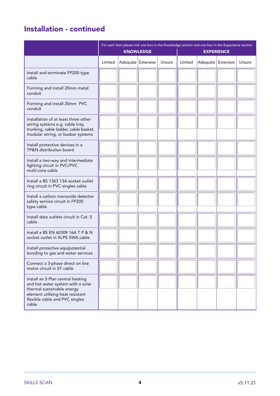# Installation - continued

|                                                                                                                                                                                     | For each item please tick one box in the Knowledge section and one box in the Experience section<br><b>KNOWLEDGE</b><br><b>EXPERIENCE</b> |  |                      |        |         |                      |  |        |
|-------------------------------------------------------------------------------------------------------------------------------------------------------------------------------------|-------------------------------------------------------------------------------------------------------------------------------------------|--|----------------------|--------|---------|----------------------|--|--------|
|                                                                                                                                                                                     | Limited                                                                                                                                   |  | Adequate   Extensive | Unsure | Limited | Adequate   Extensive |  | Unsure |
| Install and terminate FP200 type<br>cable                                                                                                                                           |                                                                                                                                           |  |                      |        |         |                      |  |        |
| Forming and install 20mm metal<br>conduit                                                                                                                                           |                                                                                                                                           |  |                      |        |         |                      |  |        |
| Forming and install 20mm PVC<br>conduit                                                                                                                                             |                                                                                                                                           |  |                      |        |         |                      |  |        |
| Installation of at least three other<br>wiring systems e.g. cable tray,<br>trunking, cable ladder, cable basket,<br>modular wiring, or busbar systems                               |                                                                                                                                           |  |                      |        |         |                      |  |        |
| Install protective devices in a<br>TP&N distribution board                                                                                                                          |                                                                                                                                           |  |                      |        |         |                      |  |        |
| Install a two-way and intermediate<br>lighting circuit in PVC/PVC<br>multi-core cable                                                                                               |                                                                                                                                           |  |                      |        |         |                      |  |        |
| Install a BS 1363 13A socket outlet<br>ring circuit in PVC singles cable                                                                                                            |                                                                                                                                           |  |                      |        |         |                      |  |        |
| Install a carbon monoxide detector<br>safety service circuit in FP200<br>type cable                                                                                                 |                                                                                                                                           |  |                      |        |         |                      |  |        |
| Install data outlets circuit in Cat. 5<br>cable                                                                                                                                     |                                                                                                                                           |  |                      |        |         |                      |  |        |
| Install a BS EN 60309 16A T P & N<br>socket outlet in XLPE SWA cable                                                                                                                |                                                                                                                                           |  |                      |        |         |                      |  |        |
| Install protective equipotential<br>bonding to gas and water services                                                                                                               |                                                                                                                                           |  |                      |        |         |                      |  |        |
| Connect a 3-phase direct on line<br>motor circuit in SY cable                                                                                                                       |                                                                                                                                           |  |                      |        |         |                      |  |        |
| Install an S Plan central heating<br>and hot water system with a solar<br>thermal sustainable energy<br>element utilising heat resistant<br>flexible cable and PVC singles<br>cable |                                                                                                                                           |  |                      |        |         |                      |  |        |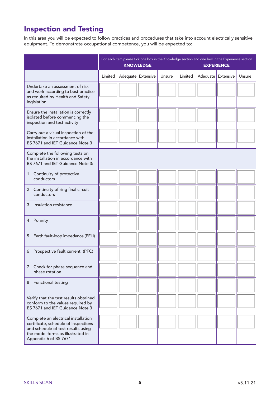# Inspection and Testing

In this area you will be expected to follow practices and procedures that take into account electrically sensitive equipment. To demonstrate occupational competence, you will be expected to:

|                                                                                                                                                                                 | For each item please tick one box in the Knowledge section and one box in the Experience section<br><b>KNOWLEDGE</b><br><b>EXPERIENCE</b> |                      |  |        |         |                      |  |        |
|---------------------------------------------------------------------------------------------------------------------------------------------------------------------------------|-------------------------------------------------------------------------------------------------------------------------------------------|----------------------|--|--------|---------|----------------------|--|--------|
|                                                                                                                                                                                 | Limited                                                                                                                                   | Adequate   Extensive |  | Unsure | Limited | Adequate   Extensive |  | Unsure |
| Undertake an assessment of risk<br>and work according to best practice<br>as required by Health and Safety<br>legislation                                                       |                                                                                                                                           |                      |  |        |         |                      |  |        |
| Ensure the installation is correctly<br>isolated before commencing the<br>inspection and test activity                                                                          |                                                                                                                                           |                      |  |        |         |                      |  |        |
| Carry out a visual inspection of the<br>installation in accordance with<br>BS 7671 and IET Guidance Note 3                                                                      |                                                                                                                                           |                      |  |        |         |                      |  |        |
| Complete the following tests on<br>the installation in accordance with<br>BS 7671 and IET Guidance Note 3:                                                                      |                                                                                                                                           |                      |  |        |         |                      |  |        |
| Continuity of protective<br>$\mathbf{1}$<br>conductors                                                                                                                          |                                                                                                                                           |                      |  |        |         |                      |  |        |
| 2 Continuity of ring final circuit<br>conductors                                                                                                                                |                                                                                                                                           |                      |  |        |         |                      |  |        |
| Insulation resistance<br>3                                                                                                                                                      |                                                                                                                                           |                      |  |        |         |                      |  |        |
| Polarity<br>4                                                                                                                                                                   |                                                                                                                                           |                      |  |        |         |                      |  |        |
| Earth fault-loop impedance (EFLI)<br>5                                                                                                                                          |                                                                                                                                           |                      |  |        |         |                      |  |        |
| Prospective fault current (PFC)<br>6                                                                                                                                            |                                                                                                                                           |                      |  |        |         |                      |  |        |
| 7<br>Check for phase sequence and<br>phase rotation                                                                                                                             |                                                                                                                                           |                      |  |        |         |                      |  |        |
| Functional testing<br>8                                                                                                                                                         |                                                                                                                                           |                      |  |        |         |                      |  |        |
| Verify that the test results obtained<br>conform to the values required by<br>BS 7671 and IET Guidance Note 3                                                                   |                                                                                                                                           |                      |  |        |         |                      |  |        |
| Complete an electrical installation<br>certificate, schedule of inspections<br>and schedule of test results using<br>the model forms as illustrated in<br>Appendix 6 of BS 7671 |                                                                                                                                           |                      |  |        |         |                      |  |        |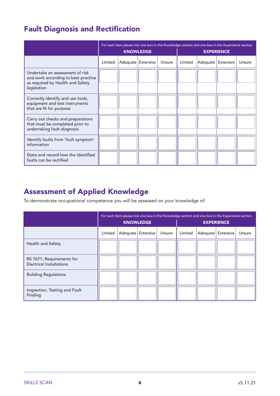# Fault Diagnosis and Rectification

|                                                                                                                           | <b>KNOWLEDGE</b> |  |                    |        | For each item please tick one box in the Knowledge section and one box in the Experience section<br><b>EXPERIENCE</b> |          |                  |        |
|---------------------------------------------------------------------------------------------------------------------------|------------------|--|--------------------|--------|-----------------------------------------------------------------------------------------------------------------------|----------|------------------|--------|
|                                                                                                                           | Limited          |  | Adequate Extensive | Unsure | Limited                                                                                                               | Adequate | <b>Extensive</b> | Unsure |
| Undertake an assessment of risk<br>and work according to best practice<br>as required by Health and Safety<br>legislation |                  |  |                    |        |                                                                                                                       |          |                  |        |
| Correctly identify and use tools,<br>equipment and test instruments<br>that are fit for purpose                           |                  |  |                    |        |                                                                                                                       |          |                  |        |
| Carry out checks and preparations<br>that must be completed prior to<br>undertaking fault diagnosis                       |                  |  |                    |        |                                                                                                                       |          |                  |        |
| Identify faults from 'fault symptom'<br>information                                                                       |                  |  |                    |        |                                                                                                                       |          |                  |        |
| State and record how the identified<br>faults can be rectified                                                            |                  |  |                    |        |                                                                                                                       |          |                  |        |

# Assessment of Applied Knowledge

To demonstrate occupational competence you will be assessed on your knowledge of:

|                                                              |         | <b>KNOWLEDGE</b>     |        | For each item please tick one box in the Knowledge section and one box in the Experience section<br><b>EXPERIENCE</b> |                    |  |        |
|--------------------------------------------------------------|---------|----------------------|--------|-----------------------------------------------------------------------------------------------------------------------|--------------------|--|--------|
|                                                              | Limited | Adequate   Extensive | Unsure | Limited                                                                                                               | Adequate Extensive |  | Unsure |
| Health and Safety                                            |         |                      |        |                                                                                                                       |                    |  |        |
| BS 7671: Requirements for<br><b>Electrical Installations</b> |         |                      |        |                                                                                                                       |                    |  |        |
| <b>Building Regulations</b>                                  |         |                      |        |                                                                                                                       |                    |  |        |
| Inspection, Testing and Fault<br>Finding                     |         |                      |        |                                                                                                                       |                    |  |        |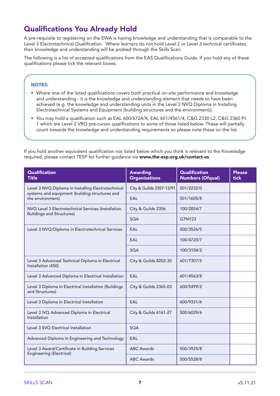# Qualifications You Already Hold

A pre-requisite to registering on the EWA is having knowledge and understanding that is comparable to the Level 3 Electrotechnical Qualification. Where learners do not hold Level 2 or Level 3 technical certificates, their knowledge and understanding will be probed through the Skills Scan.

The following is a list of accepted qualifications from the EAS Qualifications Guide. If you hold any of these qualifications please tick the relevant boxes.

#### NOTES:

- Where one of the listed qualifications covers both practical on-site performance and knowledge and understanding - it is the knowledge and understanding element that needs to have been achieved (e.g. the knowledge and understanding units in the Level 3 NVQ Diploma in Installing Electrotechnical Systems and Equipment (building structures and the environment)).
- You may hold a qualification such as EAL 600/6724/X, EAL 601/4561/4, C&G 2330 L2, C&G 2360 Pt 1 which are Level 2 VRQ pre-cursor qualifications to some of those listed below. These will partially count towards the knowledge and understanding requirements so please note these on the list.

If you hold another equivalent qualification not listed below which you think is relevant to the Knowledge required, please contact TESP for further guidance via www.the-esp.org.uk/contact-us.

| <b>Qualification</b><br><b>Title</b>                                              | <b>Awarding</b><br><b>Organisations</b> | <b>Qualification</b><br><b>Numbers (Ofqual)</b> | <b>Please</b><br>tick |
|-----------------------------------------------------------------------------------|-----------------------------------------|-------------------------------------------------|-----------------------|
| Level 3 NVQ Diploma in Installing Electrotechnical                                | City & Guilds 2357-13/91                | 501/2232/0                                      |                       |
| systems and equipment (building structures and<br>the environment)                | EAL                                     | 501/1605/8                                      |                       |
| NVQ Level 3 Electrotechnical Services (Installation,                              | City & Guilds 2356                      | 100/2854/7                                      |                       |
| <b>Buildings and Structures)</b>                                                  | <b>SOA</b>                              | G7NY23                                          |                       |
| Level 3 NVQ/Diploma in Electrotechnical Services                                  | EAL                                     | 500/3526/5                                      |                       |
|                                                                                   | EAL                                     | 100/4720/7                                      |                       |
|                                                                                   | SQA                                     | 100/3104/2                                      |                       |
| Level 3 Advanced Technical Diploma in Electrical<br>Installation (450)            | City & Guilds 8202-30                   | 601/7307/5                                      |                       |
| Level 3 Advanced Diploma in Electrical Installation                               | EAL                                     | 601/4563/8                                      |                       |
| Level 3 Diploma in Electrical Installation (Buildings<br>and Structures)          | City & Guilds 2365-03                   | 600/5499/2                                      |                       |
| Level 3 Diploma in Electrical Installation                                        | EAL                                     | 600/9331/6                                      |                       |
| Level 3 IVQ Advanced Diploma in Electrical<br>Installation                        | City & Guilds 6161-27                   | 500/6029/6                                      |                       |
| Level 3 SVQ Electrical Installation                                               | <b>SQA</b>                              |                                                 |                       |
| Advanced Diploma in Engineering and Technology                                    | EAL                                     |                                                 |                       |
| Level 3 Award/Certificate in Building Services<br><b>Engineering (Electrical)</b> | <b>ABC Awards</b>                       | 500/3925/8                                      |                       |
|                                                                                   | <b>ABC Awards</b>                       | 500/5528/8                                      |                       |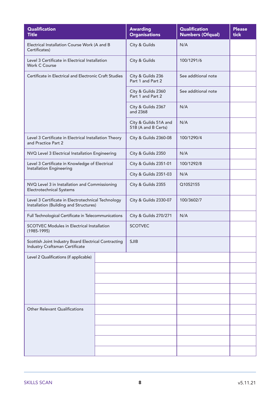| <b>Qualification</b><br><b>Title</b>                                                         |  | <b>Awarding</b><br><b>Organisations</b>      | <b>Qualification</b><br><b>Numbers (Ofqual)</b> | <b>Please</b><br>tick |
|----------------------------------------------------------------------------------------------|--|----------------------------------------------|-------------------------------------------------|-----------------------|
| Electrical Installation Course Work (A and B<br>Certificates)                                |  | City & Guilds                                | N/A                                             |                       |
| Level 3 Certificate in Electrical Installation<br><b>Work C Course</b>                       |  | City & Guilds                                | 100/1291/6                                      |                       |
| Certificate in Electrical and Electronic Craft Studies                                       |  | City & Guilds 236<br>Part 1 and Part 2       | See additional note                             |                       |
|                                                                                              |  | City & Guilds 2360<br>Part 1 and Part 2      | See additional note                             |                       |
|                                                                                              |  | City & Guilds 2367<br>and 2368               | N/A                                             |                       |
|                                                                                              |  | City & Guilds 51A and<br>51B (A and B Certs) | N/A                                             |                       |
| Level 3 Certificate in Electrical Installation Theory<br>and Practice Part 2                 |  | City & Guilds 2360-08                        | 100/1290/4                                      |                       |
| NVQ Level 3 Electrical Installation Engineering                                              |  | City & Guilds 2350                           | N/A                                             |                       |
| Level 3 Certificate in Knowledge of Electrical                                               |  | City & Guilds 2351-01                        | 100/1292/8                                      |                       |
| Installation Engineering                                                                     |  | City & Guilds 2351-03                        | N/A                                             |                       |
| NVQ Level 3 in Installation and Commissioning<br><b>Electrotechnical Systems</b>             |  | City & Guilds 2355                           | Q1052155                                        |                       |
| Level 3 Certificate in Electrotechnical Technology<br>Installation (Building and Structures) |  | City & Guilds 2330-07                        | 100/3602/7                                      |                       |
| Full Technological Certificate in Telecommunications                                         |  | City & Guilds 270/271                        | N/A                                             |                       |
| <b>SCOTVEC Modules in Electrical Installation</b><br>$(1985 - 1995)$                         |  | <b>SCOTVEC</b>                               |                                                 |                       |
| Scottish Joint Industry Board Electrical Contracting<br>Industry Craftsman Certificate       |  | <b>SJIB</b>                                  |                                                 |                       |
| Level 2 Qualifications (if applicable)                                                       |  |                                              |                                                 |                       |
|                                                                                              |  |                                              |                                                 |                       |
|                                                                                              |  |                                              |                                                 |                       |
|                                                                                              |  |                                              |                                                 |                       |
|                                                                                              |  |                                              |                                                 |                       |
| <b>Other Relevant Qualifications</b>                                                         |  |                                              |                                                 |                       |
|                                                                                              |  |                                              |                                                 |                       |
|                                                                                              |  |                                              |                                                 |                       |
|                                                                                              |  |                                              |                                                 |                       |
|                                                                                              |  |                                              |                                                 |                       |